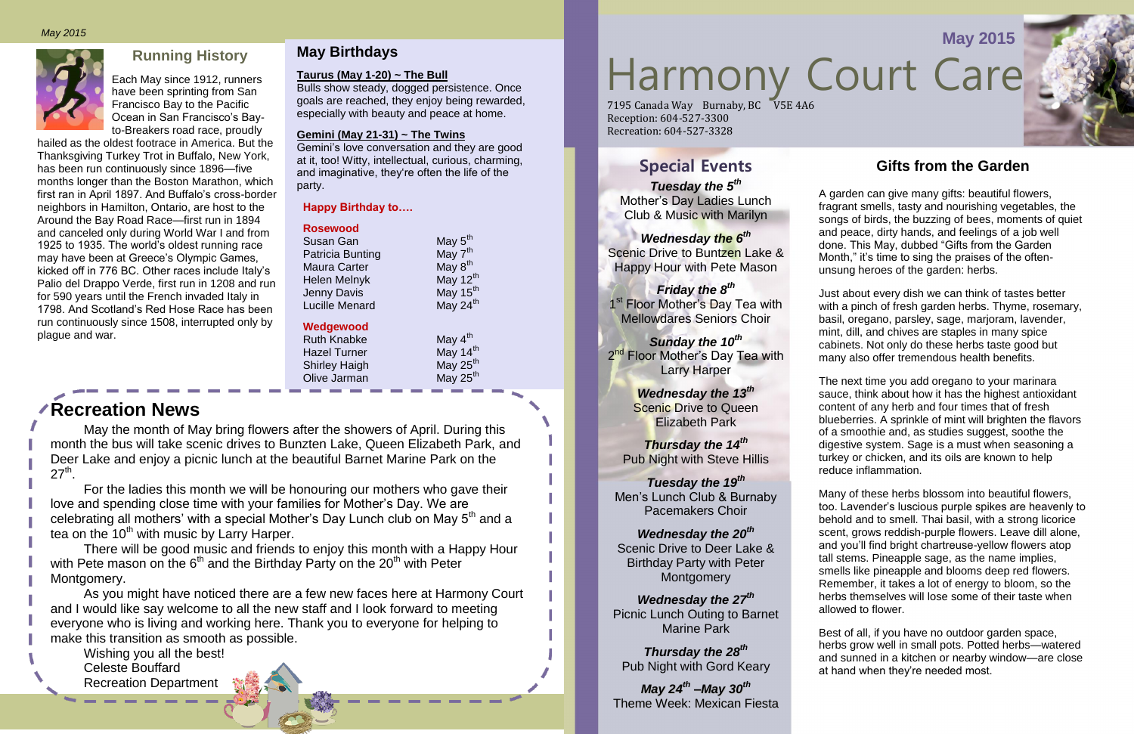

Each May since 1912, runners have been sprinting from San Francisco Bay to the Pacific Ocean in San Francisco's Bayto-Breakers road race, proudly

hailed as the oldest footrace in America. But the Thanksgiving Turkey Trot in Buffalo, New York, has been run continuously since 1896—five months longer than the Boston Marathon, which first ran in April 1897. And Buffalo's cross-border neighbors in Hamilton, Ontario, are host to the Around the Bay Road Race—first run in 1894 and canceled only during World War I and from 1925 to 1935. The world's oldest running race may have been at Greece's Olympic Games, kicked off in 776 BC. Other races include Italy's Palio del Drappo Verde, first run in 1208 and run for 590 years until the French invaded Italy in 1798. And Scotland's Red Hose Race has been run continuously since 1508, interrupted only by plague and war.

# **May Birthdays**

#### **Taurus (May 1-20) ~ The Bull**

Bulls show steady, dogged persistence. Once goals are reached, they enjoy being rewarded, especially with beauty and peace at home.

#### **Gemini (May 21-31) ~ The Twins**

Gemini's love conversation and they are good at it, too! Witty, intellectual, curious, charming, and imaginative, they're often the life of the party.

# **Gifts from the Garden**

A garden can give many gifts: beautiful flowers, fragrant smells, tasty and nourishing vegetables, the songs of birds, the buzzing of bees, moments of quiet and peace, dirty hands, and feelings of a job well done. This May, dubbed "Gifts from the Garden Month," it's time to sing the praises of the oftenunsung heroes of the garden: herbs.

#### *Wednesday the 20th* Scenic Drive to Deer Lake & Birthday Party with Peter **Montgomery**

Just about every dish we can think of tastes better with a pinch of fresh garden herbs. Thyme, rosemary, basil, oregano, parsley, sage, marjoram, lavender, mint, dill, and chives are staples in many spice cabinets. Not only do these herbs taste good but many also offer tremendous health benefits.

# Running History<br>A May since 1912, runners Taurus (May 1-20) ~ The Bull<br>e been sprinting from San<br>Read Sprinting from San **May 2015** *May 2015* 7195 Canada Way Burnaby, BC V5E 4A6 Reception: 604-527-3300

May the month of May bring flowers after the showers of April. During this month the bus will take scenic drives to Bunzten Lake, Queen Elizabeth Park, and Deer Lake and enjoy a picnic lunch at the beautiful Barnet Marine Park on the  $27<sup>th</sup>$ .

The next time you add oregano to your marinara sauce, think about how it has the highest antioxidant content of any herb and four times that of fresh blueberries. A sprinkle of mint will brighten the flavors of a smoothie and, as studies suggest, soothe the digestive system. Sage is a must when seasoning a turkey or chicken, and its oils are known to help reduce inflammation.

For the ladies this month we will be honouring our mothers who gave their love and spending close time with your families for Mother's Day. We are celebrating all mothers' with a special Mother's Day Lunch club on May  $5<sup>th</sup>$  and a tea on the  $10<sup>th</sup>$  with music by Larry Harper.

Many of these herbs blossom into beautiful flowers, too. Lavender's luscious purple spikes are heavenly to behold and to smell. Thai basil, with a strong licorice scent, grows reddish-purple flowers. Leave dill alone, and you'll find bright chartreuse-yellow flowers atop tall stems. Pineapple sage, as the name implies, smells like pineapple and blooms deep red flowers. Remember, it takes a lot of energy to bloom, so the herbs themselves will lose some of their taste when allowed to flower.

Best of all, if you have no outdoor garden space, herbs grow well in small pots. Potted herbs—watered and sunned in a kitchen or nearby window—are close at hand when they're needed most.



# **Special Events**

*Tuesday the 5th* Mother's Day Ladies Lunch Club & Music with Marilyn

#### *Wednesday the 6th* Scenic Drive to Buntzen Lake & Happy Hour with Pete Mason

#### *Friday the 8th* 1<sup>st</sup> Floor Mother's Day Tea with Mellowdares Seniors Choir

*Sunday the 10th* 2<sup>nd</sup> Floor Mother's Day Tea with Larry Harper

> *Wednesday the 13th* **Scenic Drive to Queen** Elizabeth Park

*Thursday the 14th* Pub Night with Steve Hillis

*Tuesday the 19th* Men's Lunch Club & Burnaby Pacemakers Choir

*Wednesday the 27th*  Picnic Lunch Outing to Barnet Marine Park

*Thursday the 28th* Pub Night with Gord Keary

*May 24 th –May 30 th* Theme Week: Mexican Fiesta

Recreation: 604-527-3328

#### **Happy Birthday to….**

| <b>Rosewood</b> |  |  |  |  |
|-----------------|--|--|--|--|
|                 |  |  |  |  |

| Susan Gan               | May $5th$            |
|-------------------------|----------------------|
| <b>Patricia Bunting</b> | May 7 <sup>th</sup>  |
| <b>Maura Carter</b>     | May $8^{th}$         |
| <b>Helen Melnyk</b>     | May 12 <sup>th</sup> |
| <b>Jenny Davis</b>      | May 15 <sup>th</sup> |
| <b>Lucille Menard</b>   | May 24 <sup>th</sup> |
|                         |                      |

#### **Wedgewood**

Ruth Knabke May 4<sup>th</sup><br>Hazel Turner May 14<sup>th</sup> Hazel Turner May 14<sup>th</sup><br>Shirley Haigh May 25<sup>th</sup> Shirley Haigh Olive Jarman May 25<sup>th</sup>

**Recreation News**

There will be good music and friends to enjoy this month with a Happy Hour with Pete mason on the  $6<sup>th</sup>$  and the Birthday Party on the 20<sup>th</sup> with Peter Montgomery.

As you might have noticed there are a few new faces here at Harmony Court and I would like say welcome to all the new staff and I look forward to meeting everyone who is living and working here. Thank you to everyone for helping to make this transition as smooth as possible.

Wishing you all the best! Celeste Bouffard Recreation Department